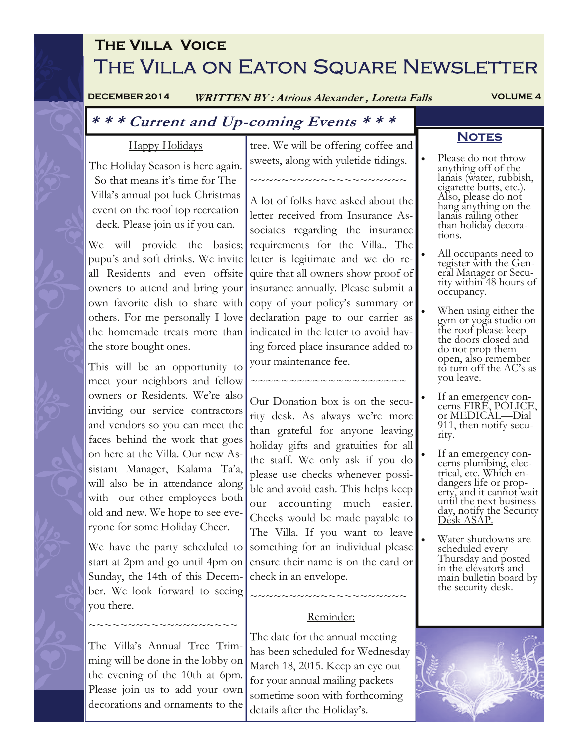# **The Villa Voice**  THE VILLA ON EATON SQUARE NEWSLETTER

**DECEMBER 2014 WRITTEN BY : Atrious Alexander , Loretta Falls VOLUME 4** 

#### Happy Holidays The Holiday Season is here again. So that means it's time for The Villa's annual pot luck Christmas event on the roof top recreation deck. Please join us if you can. We will provide the basics; requirements for the Villa.. The pupu's and soft drinks. We invite all Residents and even offsite owners to attend and bring your insurance annually. Please submit a own favorite dish to share with others. For me personally I love the homemade treats more than indicated in the letter to avoid havthe store bought ones. This will be an opportunity to meet your neighbors and fellow owners or Residents. We're also inviting our service contractors and vendors so you can meet the faces behind the work that goes on here at the Villa. Our new Assistant Manager, Kalama Ta'a, will also be in attendance along with our other employees both old and new. We hope to see everyone for some Holiday Cheer. We have the party scheduled to start at 2pm and go until 4pm on Sunday, the 14th of this December. We look forward to seeing you there. ~~~~~~~~~~~~~~~~ The Villa's Annual Tree Trimming will be done in the lobby on the evening of the 10th at 6pm. Please join us to add your own decorations and ornaments to the tree. We will be offering coffee and sweets, along with yuletide tidings. ~~~~~~~~~~~~~~~~~~~~ A lot of folks have asked about the letter received from Insurance Associates regarding the insurance letter is legitimate and we do require that all owners show proof of copy of your policy's summary or declaration page to our carrier as ing forced place insurance added to your maintenance fee. ~~~~~~~~~~~~~~~~~~~~ Our Donation box is on the security desk. As always we're more than grateful for anyone leaving holiday gifts and gratuities for all the staff. We only ask if you do please use checks whenever possible and avoid cash. This helps keep our accounting much easier. Checks would be made payable to The Villa. If you want to leave something for an individual please ensure their name is on the card or check in an envelope. ~~~~~~~~~~~~~~~~~~ Reminder: The date for the annual meeting has been scheduled for Wednesday March 18, 2015. Keep an eye out for your annual mailing packets sometime soon with forthcoming details after the Holiday's. **\* \* \* Current and Up-coming Events \* \* \* NOTES** Please do not throw anything off of the lanais (water, rubbish, cigarette butts, etc.). Also, please do not hang anything on the lanais railing other than holiday decorations. All occupants need to register with the General Manager or Security within 48 hours of occupancy. When using either the gym or yoga studio on the roof please keep the doors closed and do not prop them open, also remember to turn off the AC's as you leave. If an emergency concerns FIRE, POLICE, or MEDICAL—Dial 911, then notify security. If an emergency concerns plumbing, electrical, etc. Which endangers life or property, and it cannot wait until the next business day, notify the Security Desk ASAP. Water shutdowns are scheduled every Thursday and posted in the elevators and main bulletin board by the security desk.